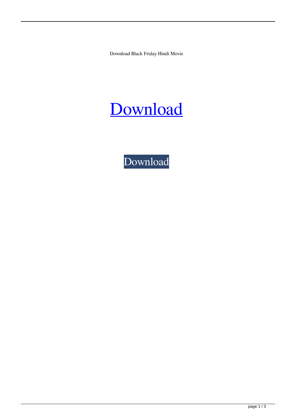Download Black Friday Hindi Movie



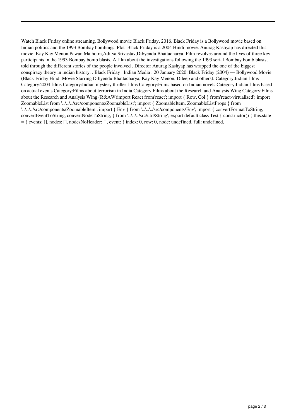Watch Black Friday online streaming. Bollywood movie Black Friday, 2016. Black Friday is a Bollywood movie based on Indian politics and the 1993 Bombay bombings. Plot Black Friday is a 2004 Hindi movie. Anurag Kashyap has directed this movie. Kay Kay Menon,Pawan Malhotra,Aditya Srivastav,Dibyendu Bhattacharya. Film revolves around the lives of three key participants in the 1993 Bombay bomb blasts. A film about the investigations following the 1993 serial Bombay bomb blasts, told through the different stories of the people involved . Director Anurag Kashyap has wrapped the one of the biggest conspiracy theory in indian history. . Black Friday : Indian Media : 20 January 2020. Black Friday (2004) — Bollywood Movie (Black Friday Hindi Movie Starring Dibyendu Bhattacharya, Kay Kay Menon, Dileep and others). Category:Indian films Category:2004 films Category:Indian mystery thriller films Category:Films based on Indian novels Category:Indian films based on actual events Category:Films about terrorism in India Category:Films about the Research and Analysis Wing Category:Films about the Research and Analysis Wing (R&AW)import React from'react'; import { Row, Col } from'react-virtualized'; import ZoomableList from '../../../src/components/ZoomableList'; import { ZoomableItem, ZoomableListProps } from '../../../src/components/ZoomableItem'; import { Env } from '../../../src/components/Env'; import { convertFormatToString, convertEventToString, convertNodeToString, } from '../../../src/util/String'; export default class Test { constructor() { this.state = { events: [], nodes: [], nodesNoHeader: [], event: { index: 0, row: 0, node: undefined, full: undefined,